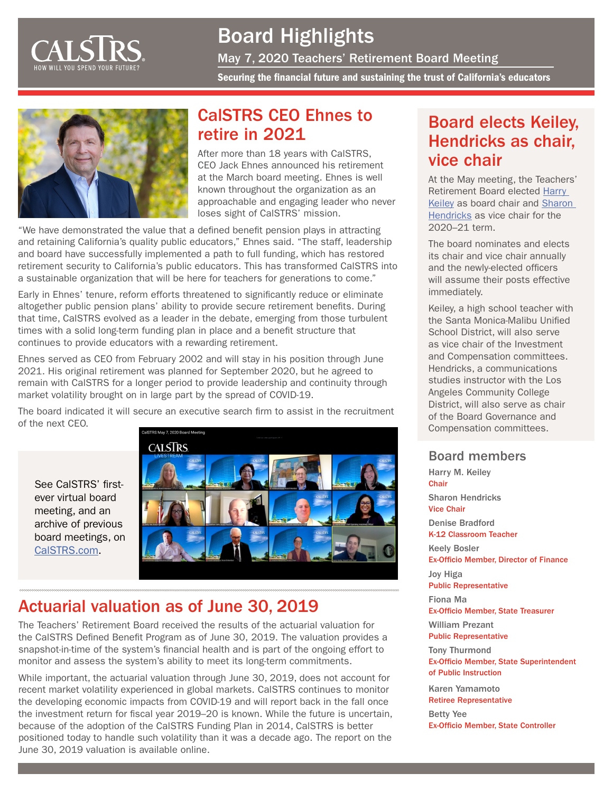

Board Highlights

May 7, 2020 Teachers' Retirement Board Meeting

Securing the financial future and sustaining the trust of California's educators



## CalSTRS CEO Ehnes to retire in 2021

After more than 18 years with CalSTRS, CEO Jack Ehnes announced his retirement at the March board meeting. Ehnes is well known throughout the organization as an approachable and engaging leader who never loses sight of CalSTRS' mission.

"We have demonstrated the value that a defined benefit pension plays in attracting and retaining California's quality public educators," Ehnes said. "The staff, leadership and board have successfully implemented a path to full funding, which has restored retirement security to California's public educators. This has transformed CalSTRS into a sustainable organization that will be here for teachers for generations to come."

Early in Ehnes' tenure, reform efforts threatened to significantly reduce or eliminate altogether public pension plans' ability to provide secure retirement benefits. During that time, CalSTRS evolved as a leader in the debate, emerging from those turbulent times with a solid long-term funding plan in place and a benefit structure that continues to provide educators with a rewarding retirement.

Ehnes served as CEO from February 2002 and will stay in his position through June 2021. His original retirement was planned for September 2020, but he agreed to remain with CalSTRS for a longer period to provide leadership and continuity through market volatility brought on in large part by the spread of COVID-19.

The board indicated it will secure an executive search firm to assist in the recruitment of the next CEO.

See CalSTRS' firstever virtual board meeting, and an archive of previous board meetings, on [CalSTRS.com](https://www.calstrs.com/board-meeting-video-archive).



## Actuarial valuation as of June 30, 2019

The Teachers' Retirement Board received the results of the actuarial valuation for the CalSTRS Defined Benefit Program as of June 30, 2019. The valuation provides a snapshot-in-time of the system's financial health and is part of the ongoing effort to monitor and assess the system's ability to meet its long-term commitments.

While important, the actuarial valuation through June 30, 2019, does not account for recent market volatility experienced in global markets. CalSTRS continues to monitor the developing economic impacts from COVID-19 and will report back in the fall once the investment return for fiscal year 2019–20 is known. While the future is uncertain, because of the adoption of the CalSTRS Funding Plan in 2014, CalSTRS is better positioned today to handle such volatility than it was a decade ago. The report on the June 30, 2019 valuation is available online.

## Board elects Keiley, Hendricks as chair, vice chair

At the May meeting, the Teachers' Retirement Board elected [Harry](https://www.calstrs.com/profile/harry-m-keiley)  [Keiley](https://www.calstrs.com/profile/harry-m-keiley) as board chair and Sharon [Hendricks](https://www.calstrs.com/profile/sharon-hendricks) as vice chair for the 2020–21 term.

The board nominates and elects its chair and vice chair annually and the newly-elected officers will assume their posts effective immediately.

Keiley, a high school teacher with the Santa Monica-Malibu Unified School District, will also serve as vice chair of the Investment and Compensation committees. Hendricks, a communications studies instructor with the Los Angeles Community College District, will also serve as chair of the Board Governance and Compensation committees.

### Board members

Harry M. Keiley Chair Sharon Hendricks Vice Chair Denise Bradford K-12 Classroom Teacher Keely Bosler Ex-Officio Member, Director of Finance Joy Higa Public Representative Fiona Ma Ex-Officio Member, State Treasurer William Prezant Public Representative Tony Thurmond Ex-Officio Member, State Superintendent of Public Instruction

Karen Yamamoto Retiree Representative

Betty Yee Ex-Officio Member, State Controller